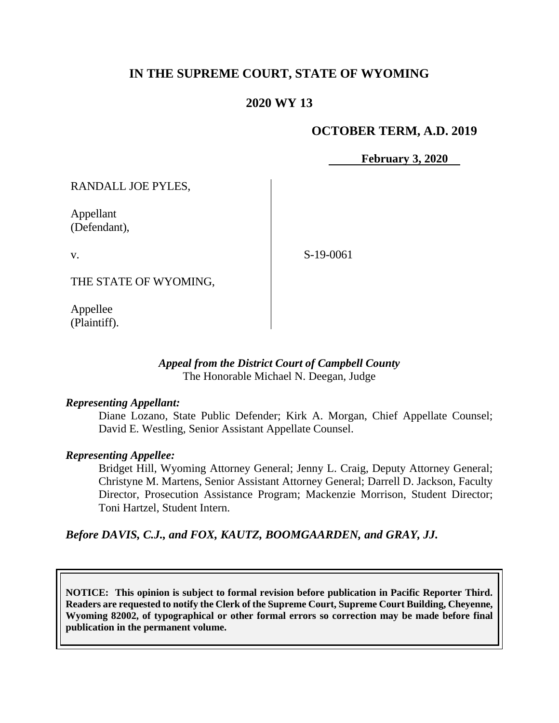# **IN THE SUPREME COURT, STATE OF WYOMING**

## **2020 WY 13**

## **OCTOBER TERM, A.D. 2019**

**February 3, 2020**

RANDALL JOE PYLES,

Appellant (Defendant),

v.

S-19-0061

THE STATE OF WYOMING,

Appellee (Plaintiff).

## *Appeal from the District Court of Campbell County* The Honorable Michael N. Deegan, Judge

### *Representing Appellant:*

Diane Lozano, State Public Defender; Kirk A. Morgan, Chief Appellate Counsel; David E. Westling, Senior Assistant Appellate Counsel.

#### *Representing Appellee:*

Bridget Hill, Wyoming Attorney General; Jenny L. Craig, Deputy Attorney General; Christyne M. Martens, Senior Assistant Attorney General; Darrell D. Jackson, Faculty Director, Prosecution Assistance Program; Mackenzie Morrison, Student Director; Toni Hartzel, Student Intern.

*Before DAVIS, C.J., and FOX, KAUTZ, BOOMGAARDEN, and GRAY, JJ.*

**NOTICE: This opinion is subject to formal revision before publication in Pacific Reporter Third. Readers are requested to notify the Clerk of the Supreme Court, Supreme Court Building, Cheyenne, Wyoming 82002, of typographical or other formal errors so correction may be made before final publication in the permanent volume.**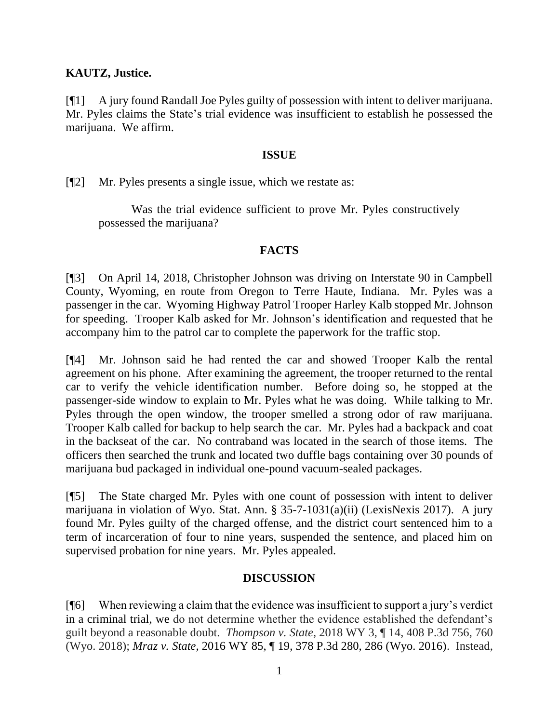## **KAUTZ, Justice.**

[¶1] A jury found Randall Joe Pyles guilty of possession with intent to deliver marijuana. Mr. Pyles claims the State's trial evidence was insufficient to establish he possessed the marijuana. We affirm.

## **ISSUE**

[¶2] Mr. Pyles presents a single issue, which we restate as:

Was the trial evidence sufficient to prove Mr. Pyles constructively possessed the marijuana?

## **FACTS**

[¶3] On April 14, 2018, Christopher Johnson was driving on Interstate 90 in Campbell County, Wyoming, en route from Oregon to Terre Haute, Indiana. Mr. Pyles was a passenger in the car. Wyoming Highway Patrol Trooper Harley Kalb stopped Mr. Johnson for speeding. Trooper Kalb asked for Mr. Johnson's identification and requested that he accompany him to the patrol car to complete the paperwork for the traffic stop.

[¶4] Mr. Johnson said he had rented the car and showed Trooper Kalb the rental agreement on his phone. After examining the agreement, the trooper returned to the rental car to verify the vehicle identification number. Before doing so, he stopped at the passenger-side window to explain to Mr. Pyles what he was doing. While talking to Mr. Pyles through the open window, the trooper smelled a strong odor of raw marijuana. Trooper Kalb called for backup to help search the car. Mr. Pyles had a backpack and coat in the backseat of the car. No contraband was located in the search of those items. The officers then searched the trunk and located two duffle bags containing over 30 pounds of marijuana bud packaged in individual one-pound vacuum-sealed packages.

[¶5] The State charged Mr. Pyles with one count of possession with intent to deliver marijuana in violation of Wyo. Stat. Ann. § 35-7-1031(a)(ii) (LexisNexis 2017). A jury found Mr. Pyles guilty of the charged offense, and the district court sentenced him to a term of incarceration of four to nine years, suspended the sentence, and placed him on supervised probation for nine years. Mr. Pyles appealed.

## **DISCUSSION**

[¶6] When reviewing a claim that the evidence was insufficient to support a jury's verdict in a criminal trial, we do not determine whether the evidence established the defendant's guilt beyond a reasonable doubt. *Thompson v. State,* 2018 WY 3, ¶ 14, 408 P.3d 756, 760 (Wyo. 2018); *Mraz v. State,* 2016 WY 85, ¶ 19, 378 P.3d 280, 286 (Wyo. 2016). Instead,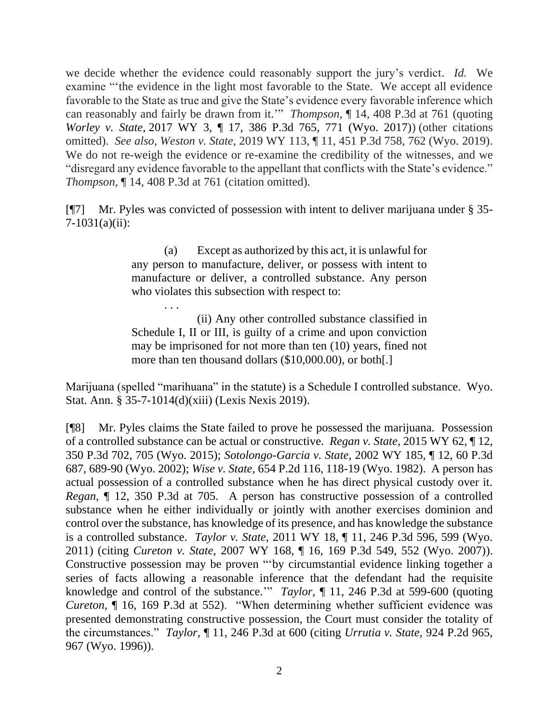we decide whether the evidence could reasonably support the jury's verdict. *Id.* We examine "'the evidence in the light most favorable to the State. We accept all evidence favorable to the State as true and give the State's evidence every favorable inference which can reasonably and fairly be drawn from it.'" *Thompson,* ¶ 14, 408 P.3d at 761 (quoting *Worley v. State,* 2017 WY 3, ¶ 17, 386 P.3d 765, 771 (Wyo. 2017)) (other citations omitted). *See also, Weston v. State,* 2019 WY 113, ¶ 11, 451 P.3d 758, 762 (Wyo. 2019). We do not re-weigh the evidence or re-examine the credibility of the witnesses, and we "disregard any evidence favorable to the appellant that conflicts with the State's evidence." *Thompson,* ¶ 14, 408 P.3d at 761 (citation omitted).

[¶7] Mr. Pyles was convicted of possession with intent to deliver marijuana under § 35- 7-1031(a)(ii):

> (a) Except as authorized by this act, it is unlawful for any person to manufacture, deliver, or possess with intent to manufacture or deliver, a controlled substance. Any person who violates this subsection with respect to:

> . . . (ii) Any other controlled substance classified in Schedule I, II or III, is guilty of a crime and upon conviction may be imprisoned for not more than ten (10) years, fined not more than ten thousand dollars (\$10,000.00), or both[.]

Marijuana (spelled "marihuana" in the statute) is a Schedule I controlled substance. Wyo. Stat. Ann. § 35-7-1014(d)(xiii) (Lexis Nexis 2019).

[¶8] Mr. Pyles claims the State failed to prove he possessed the marijuana. Possession of a controlled substance can be actual or constructive. *Regan v. State,* 2015 WY 62, ¶ 12, 350 P.3d 702, 705 (Wyo. 2015); *Sotolongo-Garcia v. State,* 2002 WY 185, ¶ 12, 60 P.3d 687, 689-90 (Wyo. 2002); *Wise v. State,* 654 P.2d 116, 118-19 (Wyo. 1982). A person has actual possession of a controlled substance when he has direct physical custody over it. *Regan,* ¶ 12, 350 P.3d at 705.A person has constructive possession of a controlled substance when he either individually or jointly with another exercises dominion and control over the substance, has knowledge of its presence, and has knowledge the substance is a controlled substance. *Taylor v. State,* 2011 WY 18, ¶ 11, 246 P.3d 596, 599 (Wyo. 2011) (citing *Cureton v. State,* 2007 WY 168, ¶ 16, 169 P.3d 549, 552 (Wyo. 2007)). Constructive possession may be proven "'by circumstantial evidence linking together a series of facts allowing a reasonable inference that the defendant had the requisite knowledge and control of the substance.'" *Taylor,* ¶ 11, 246 P.3d at 599-600 (quoting *Cureton,* ¶ 16, 169 P.3d at 552). "When determining whether sufficient evidence was presented demonstrating constructive possession, the Court must consider the totality of the circumstances." *Taylor,* ¶ 11, 246 P.3d at 600 (citing *Urrutia v. State,* 924 P.2d 965, 967 (Wyo. 1996)).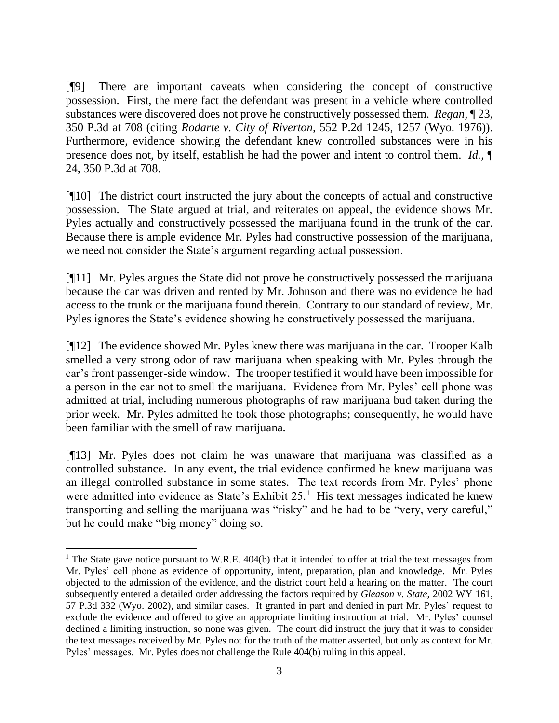[¶9] There are important caveats when considering the concept of constructive possession. First, the mere fact the defendant was present in a vehicle where controlled substances were discovered does not prove he constructively possessed them. *Regan,* ¶ 23, 350 P.3d at 708 (citing *Rodarte v. City of Riverton,* 552 P.2d 1245, 1257 (Wyo. 1976)). Furthermore, evidence showing the defendant knew controlled substances were in his presence does not, by itself, establish he had the power and intent to control them. *Id.,* ¶ 24, 350 P.3d at 708.

[¶10] The district court instructed the jury about the concepts of actual and constructive possession. The State argued at trial, and reiterates on appeal, the evidence shows Mr. Pyles actually and constructively possessed the marijuana found in the trunk of the car. Because there is ample evidence Mr. Pyles had constructive possession of the marijuana, we need not consider the State's argument regarding actual possession.

[¶11] Mr. Pyles argues the State did not prove he constructively possessed the marijuana because the car was driven and rented by Mr. Johnson and there was no evidence he had access to the trunk or the marijuana found therein. Contrary to our standard of review, Mr. Pyles ignores the State's evidence showing he constructively possessed the marijuana.

[¶12] The evidence showed Mr. Pyles knew there was marijuana in the car. Trooper Kalb smelled a very strong odor of raw marijuana when speaking with Mr. Pyles through the car's front passenger-side window. The trooper testified it would have been impossible for a person in the car not to smell the marijuana. Evidence from Mr. Pyles' cell phone was admitted at trial, including numerous photographs of raw marijuana bud taken during the prior week. Mr. Pyles admitted he took those photographs; consequently, he would have been familiar with the smell of raw marijuana.

[¶13] Mr. Pyles does not claim he was unaware that marijuana was classified as a controlled substance. In any event, the trial evidence confirmed he knew marijuana was an illegal controlled substance in some states. The text records from Mr. Pyles' phone were admitted into evidence as State's Exhibit  $25<sup>1</sup>$  His text messages indicated he knew transporting and selling the marijuana was "risky" and he had to be "very, very careful," but he could make "big money" doing so.

<sup>&</sup>lt;sup>1</sup> The State gave notice pursuant to W.R.E.  $404(b)$  that it intended to offer at trial the text messages from Mr. Pyles' cell phone as evidence of opportunity, intent, preparation, plan and knowledge. Mr. Pyles objected to the admission of the evidence, and the district court held a hearing on the matter. The court subsequently entered a detailed order addressing the factors required by *Gleason v. State,* 2002 WY 161, 57 P.3d 332 (Wyo. 2002), and similar cases. It granted in part and denied in part Mr. Pyles' request to exclude the evidence and offered to give an appropriate limiting instruction at trial. Mr. Pyles' counsel declined a limiting instruction, so none was given. The court did instruct the jury that it was to consider the text messages received by Mr. Pyles not for the truth of the matter asserted, but only as context for Mr. Pyles' messages. Mr. Pyles does not challenge the Rule 404(b) ruling in this appeal.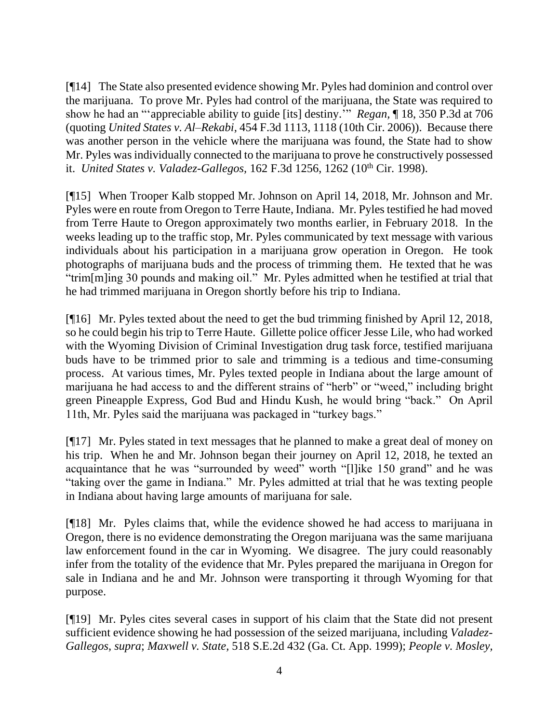[¶14] The State also presented evidence showing Mr. Pyles had dominion and control over the marijuana. To prove Mr. Pyles had control of the marijuana, the State was required to show he had an "'appreciable ability to guide [its] destiny.'" *Regan,* ¶ 18, 350 P.3d at 706 (quoting *United States v. Al–Rekabi,* 454 F.3d 1113, 1118 (10th Cir. 2006)). Because there was another person in the vehicle where the marijuana was found, the State had to show Mr. Pyles was individually connected to the marijuana to prove he constructively possessed it. *United States v. Valadez-Gallegos,* 162 F.3d 1256, 1262 (10th Cir. 1998).

[¶15] When Trooper Kalb stopped Mr. Johnson on April 14, 2018, Mr. Johnson and Mr. Pyles were en route from Oregon to Terre Haute, Indiana. Mr. Pyles testified he had moved from Terre Haute to Oregon approximately two months earlier, in February 2018. In the weeks leading up to the traffic stop, Mr. Pyles communicated by text message with various individuals about his participation in a marijuana grow operation in Oregon. He took photographs of marijuana buds and the process of trimming them. He texted that he was "trim[m]ing 30 pounds and making oil." Mr. Pyles admitted when he testified at trial that he had trimmed marijuana in Oregon shortly before his trip to Indiana.

[¶16] Mr. Pyles texted about the need to get the bud trimming finished by April 12, 2018, so he could begin his trip to Terre Haute. Gillette police officer Jesse Lile, who had worked with the Wyoming Division of Criminal Investigation drug task force, testified marijuana buds have to be trimmed prior to sale and trimming is a tedious and time-consuming process. At various times, Mr. Pyles texted people in Indiana about the large amount of marijuana he had access to and the different strains of "herb" or "weed," including bright green Pineapple Express, God Bud and Hindu Kush, he would bring "back." On April 11th, Mr. Pyles said the marijuana was packaged in "turkey bags."

[¶17] Mr. Pyles stated in text messages that he planned to make a great deal of money on his trip. When he and Mr. Johnson began their journey on April 12, 2018, he texted an acquaintance that he was "surrounded by weed" worth "[l]ike 150 grand" and he was "taking over the game in Indiana." Mr. Pyles admitted at trial that he was texting people in Indiana about having large amounts of marijuana for sale.

[¶18] Mr. Pyles claims that, while the evidence showed he had access to marijuana in Oregon, there is no evidence demonstrating the Oregon marijuana was the same marijuana law enforcement found in the car in Wyoming. We disagree. The jury could reasonably infer from the totality of the evidence that Mr. Pyles prepared the marijuana in Oregon for sale in Indiana and he and Mr. Johnson were transporting it through Wyoming for that purpose.

[¶19] Mr. Pyles cites several cases in support of his claim that the State did not present sufficient evidence showing he had possession of the seized marijuana, including *Valadez-Gallegos, supra*; *Maxwell v. State,* 518 S.E.2d 432 (Ga. Ct. App. 1999); *People v. Mosley,*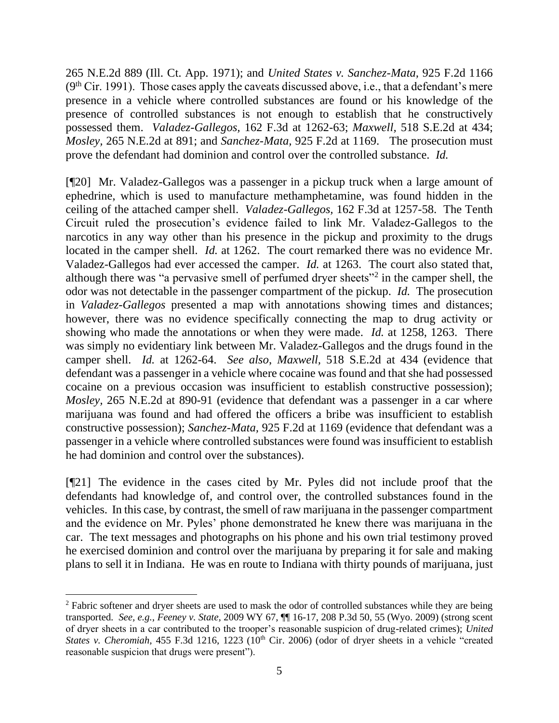265 N.E.2d 889 (Ill. Ct. App. 1971); and *United States v. Sanchez-Mata,* 925 F.2d 1166  $(9<sup>th</sup> Cir. 1991)$ . Those cases apply the caveats discussed above, i.e., that a defendant's mere presence in a vehicle where controlled substances are found or his knowledge of the presence of controlled substances is not enough to establish that he constructively possessed them. *Valadez-Gallegos,* 162 F.3d at 1262-63; *Maxwell,* 518 S.E.2d at 434; *Mosley,* 265 N.E.2d at 891; and *Sanchez-Mata,* 925 F.2d at 1169. The prosecution must prove the defendant had dominion and control over the controlled substance. *Id.* 

[¶20] Mr. Valadez-Gallegos was a passenger in a pickup truck when a large amount of ephedrine, which is used to manufacture methamphetamine, was found hidden in the ceiling of the attached camper shell. *Valadez-Gallegos,* 162 F.3d at 1257-58. The Tenth Circuit ruled the prosecution's evidence failed to link Mr. Valadez-Gallegos to the narcotics in any way other than his presence in the pickup and proximity to the drugs located in the camper shell. *Id.* at 1262. The court remarked there was no evidence Mr. Valadez-Gallegos had ever accessed the camper. *Id.* at 1263. The court also stated that, although there was "a pervasive smell of perfumed dryer sheets"<sup>2</sup> in the camper shell, the odor was not detectable in the passenger compartment of the pickup. *Id.* The prosecution in *Valadez-Gallegos* presented a map with annotations showing times and distances; however, there was no evidence specifically connecting the map to drug activity or showing who made the annotations or when they were made. *Id.* at 1258, 1263. There was simply no evidentiary link between Mr. Valadez-Gallegos and the drugs found in the camper shell. *Id.* at 1262-64. *See also*, *Maxwell,* 518 S.E.2d at 434 (evidence that defendant was a passenger in a vehicle where cocaine was found and that she had possessed cocaine on a previous occasion was insufficient to establish constructive possession); *Mosley,* 265 N.E.2d at 890-91 (evidence that defendant was a passenger in a car where marijuana was found and had offered the officers a bribe was insufficient to establish constructive possession); *Sanchez-Mata,* 925 F.2d at 1169 (evidence that defendant was a passenger in a vehicle where controlled substances were found was insufficient to establish he had dominion and control over the substances).

[¶21] The evidence in the cases cited by Mr. Pyles did not include proof that the defendants had knowledge of, and control over, the controlled substances found in the vehicles. In this case, by contrast, the smell of raw marijuana in the passenger compartment and the evidence on Mr. Pyles' phone demonstrated he knew there was marijuana in the car. The text messages and photographs on his phone and his own trial testimony proved he exercised dominion and control over the marijuana by preparing it for sale and making plans to sell it in Indiana. He was en route to Indiana with thirty pounds of marijuana, just

<sup>&</sup>lt;sup>2</sup> Fabric softener and dryer sheets are used to mask the odor of controlled substances while they are being transported. *See, e.g.*, *Feeney v. State,* 2009 WY 67, ¶¶ 16-17, 208 P.3d 50, 55 (Wyo. 2009) (strong scent of dryer sheets in a car contributed to the trooper's reasonable suspicion of drug-related crimes); *United States v. Cheromiah,* 455 F.3d 1216, 1223 (10<sup>th</sup> Cir. 2006) (odor of dryer sheets in a vehicle "created reasonable suspicion that drugs were present").